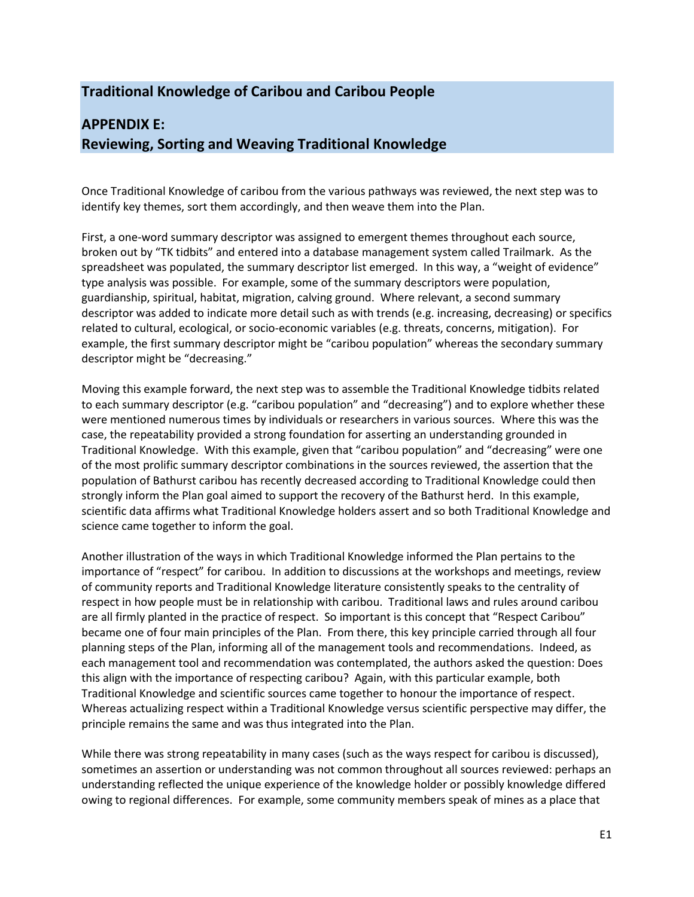## **Traditional Knowledge of Caribou and Caribou People**

## **APPENDIX E: Reviewing, Sorting and Weaving Traditional Knowledge**

Once Traditional Knowledge of caribou from the various pathways was reviewed, the next step was to identify key themes, sort them accordingly, and then weave them into the Plan.

First, a one-word summary descriptor was assigned to emergent themes throughout each source, broken out by "TK tidbits" and entered into a database management system called Trailmark. As the spreadsheet was populated, the summary descriptor list emerged. In this way, a "weight of evidence" type analysis was possible. For example, some of the summary descriptors were population, guardianship, spiritual, habitat, migration, calving ground. Where relevant, a second summary descriptor was added to indicate more detail such as with trends (e.g. increasing, decreasing) or specifics related to cultural, ecological, or socio-economic variables (e.g. threats, concerns, mitigation). For example, the first summary descriptor might be "caribou population" whereas the secondary summary descriptor might be "decreasing."

Moving this example forward, the next step was to assemble the Traditional Knowledge tidbits related to each summary descriptor (e.g. "caribou population" and "decreasing") and to explore whether these were mentioned numerous times by individuals or researchers in various sources. Where this was the case, the repeatability provided a strong foundation for asserting an understanding grounded in Traditional Knowledge. With this example, given that "caribou population" and "decreasing" were one of the most prolific summary descriptor combinations in the sources reviewed, the assertion that the population of Bathurst caribou has recently decreased according to Traditional Knowledge could then strongly inform the Plan goal aimed to support the recovery of the Bathurst herd. In this example, scientific data affirms what Traditional Knowledge holders assert and so both Traditional Knowledge and science came together to inform the goal.

Another illustration of the ways in which Traditional Knowledge informed the Plan pertains to the importance of "respect" for caribou. In addition to discussions at the workshops and meetings, review of community reports and Traditional Knowledge literature consistently speaks to the centrality of respect in how people must be in relationship with caribou. Traditional laws and rules around caribou are all firmly planted in the practice of respect. So important is this concept that "Respect Caribou" became one of four main principles of the Plan. From there, this key principle carried through all four planning steps of the Plan, informing all of the management tools and recommendations. Indeed, as each management tool and recommendation was contemplated, the authors asked the question: Does this align with the importance of respecting caribou? Again, with this particular example, both Traditional Knowledge and scientific sources came together to honour the importance of respect. Whereas actualizing respect within a Traditional Knowledge versus scientific perspective may differ, the principle remains the same and was thus integrated into the Plan.

While there was strong repeatability in many cases (such as the ways respect for caribou is discussed), sometimes an assertion or understanding was not common throughout all sources reviewed: perhaps an understanding reflected the unique experience of the knowledge holder or possibly knowledge differed owing to regional differences. For example, some community members speak of mines as a place that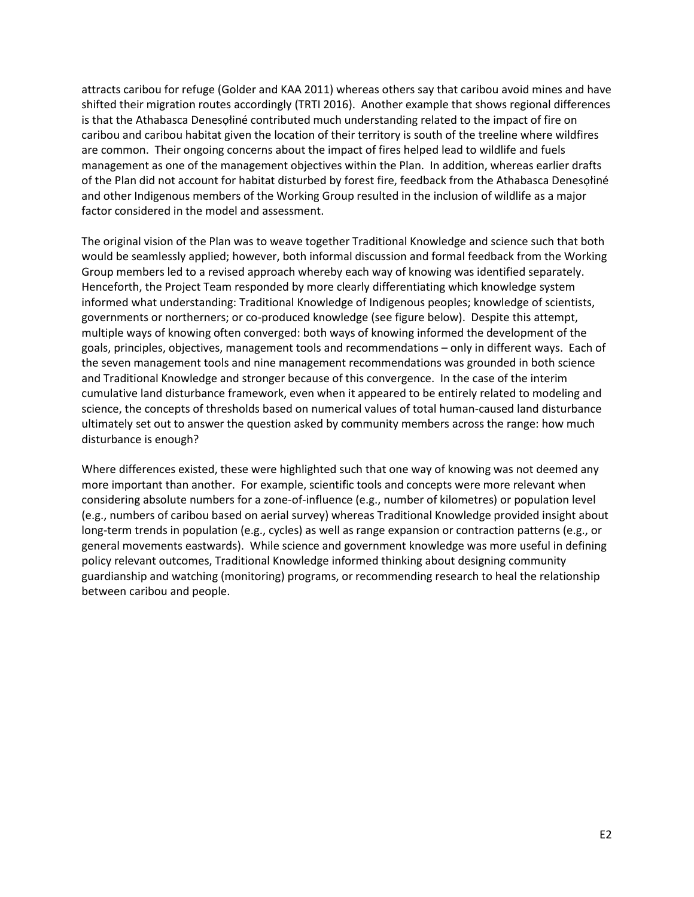attracts caribou for refuge (Golder and KAA 2011) whereas others say that caribou avoid mines and have shifted their migration routes accordingly (TRTI 2016). Another example that shows regional differences is that the Athabasca Denesọłiné contributed much understanding related to the impact of fire on caribou and caribou habitat given the location of their territory is south of the treeline where wildfires are common. Their ongoing concerns about the impact of fires helped lead to wildlife and fuels management as one of the management objectives within the Plan. In addition, whereas earlier drafts of the Plan did not account for habitat disturbed by forest fire, feedback from the Athabasca Denesọłiné and other Indigenous members of the Working Group resulted in the inclusion of wildlife as a major factor considered in the model and assessment.

The original vision of the Plan was to weave together Traditional Knowledge and science such that both would be seamlessly applied; however, both informal discussion and formal feedback from the Working Group members led to a revised approach whereby each way of knowing was identified separately. Henceforth, the Project Team responded by more clearly differentiating which knowledge system informed what understanding: Traditional Knowledge of Indigenous peoples; knowledge of scientists, governments or northerners; or co-produced knowledge (see figure below). Despite this attempt, multiple ways of knowing often converged: both ways of knowing informed the development of the goals, principles, objectives, management tools and recommendations – only in different ways. Each of the seven management tools and nine management recommendations was grounded in both science and Traditional Knowledge and stronger because of this convergence. In the case of the interim cumulative land disturbance framework, even when it appeared to be entirely related to modeling and science, the concepts of thresholds based on numerical values of total human-caused land disturbance ultimately set out to answer the question asked by community members across the range: how much disturbance is enough?

Where differences existed, these were highlighted such that one way of knowing was not deemed any more important than another. For example, scientific tools and concepts were more relevant when considering absolute numbers for a zone-of-influence (e.g., number of kilometres) or population level (e.g., numbers of caribou based on aerial survey) whereas Traditional Knowledge provided insight about long-term trends in population (e.g., cycles) as well as range expansion or contraction patterns (e.g., or general movements eastwards). While science and government knowledge was more useful in defining policy relevant outcomes, Traditional Knowledge informed thinking about designing community guardianship and watching (monitoring) programs, or recommending research to heal the relationship between caribou and people.